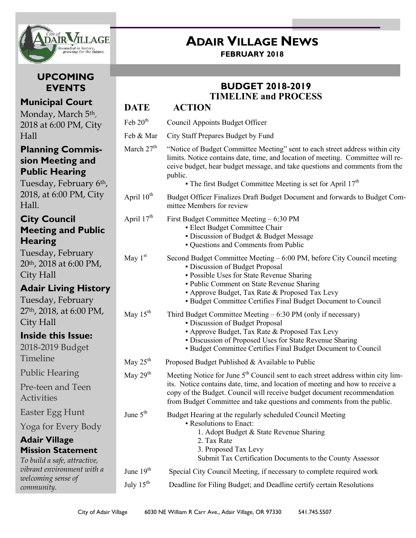

## **UPCOMING EVENTS**

## **Municipal Court**

Monday, March 5<sup>th</sup>, 2018 at 6:00 PM, City Hall

### **Planning Commission Meeting and Public Hearing**

Tuesday, February 6th, 2018, at 6:00 PM, City Hall.

## **City Council Meeting and Public Hearing**

Tuesday, February 20th, 2018 at 6:00 PM, City Hall

## **Adair Living History**

Tuesday, February 27th, 2018, at 6:00 PM, City Hall

May  $25<sup>th</sup>$ 

## **Inside this Issue:**

2018-2019 Budget Timeline

Public Hearing

Pre-teen and Teen **Activities** 

Easter Egg Hunt

Yoga for Every Body

#### **Adair Village Mission Statement**

*To build a safe, attractive, vibrant environment with a welcoming sense of community.*

# **ADAIR VILLAGE NEWS**

**FEBRUARY 2018**

## **BUDGET 2018-2019 TIMELINE and PROCESS**

## **DATE ACTION**

- Feb  $20<sup>th</sup>$ Council Appoints Budget Officer
- Feb & Mar City Staff Prepares Budget by Fund
- March  $27<sup>th</sup>$  "Notice of Budget Committee Meeting" sent to each street address within city limits. Notice contains date, time, and location of meeting. Committee will receive budget, hear budget message, and take questions and comments from the public.
	- $\bullet$  The first Budget Committee Meeting is set for April 17<sup>th</sup>
- April  $10<sup>th</sup>$  Budget Officer Finalizes Draft Budget Document and forwards to Budget Committee Members for review

## April  $17<sup>th</sup>$  First Budget Committee Meeting – 6:30 PM

- **Elect Budget Committee Chair**
- Discussion of Budget & Budget Message
- Questions and Comments from Public
- May  $1<sup>st</sup>$  Second Budget Committee Meeting – 6:00 PM, before City Council meeting ▪ Discussion of Budget Proposal
	- Possible Uses for State Revenue Sharing
	- Public Comment on State Revenue Sharing
	- Approve Budget, Tax Rate & Proposed Tax Levy
	- Budget Committee Certifies Final Budget Document to Council
- May  $15<sup>th</sup>$  Third Budget Committee Meeting 6:30 PM (only if necessary)
	- Discussion of Budget Proposal • Approve Budget, Tax Rate & Proposed Tax Levy
	- Discussion of Proposed Uses for State Revenue Sharing
	- Budget Committee Certifies Final Budget Document to Council
	- Proposed Budget Published & Available to Public

#### May  $29<sup>th</sup>$ Meeting Notice for June  $5<sup>th</sup>$  Council sent to each street address within city limits. Notice contains date, time, and location of meeting and how to receive a copy of the Budget. Council will receive budget document recommendation from Budget Committee and take questions and comments from the public.

- June 5<sup>th</sup> Budget Hearing at the regularly scheduled Council Meeting ▪ Resolutions to Enact: 1. Adopt Budget & State Revenue Sharing
	- 2. Tax Rate
	- 3. Proposed Tax Levy
	- Submit Tax Certification Documents to the County Assessor
- June 19<sup>th</sup> Special City Council Meeting, if necessary to complete required work
- July 15th Deadline for Filing Budget; and Deadline certify certain Resolutions